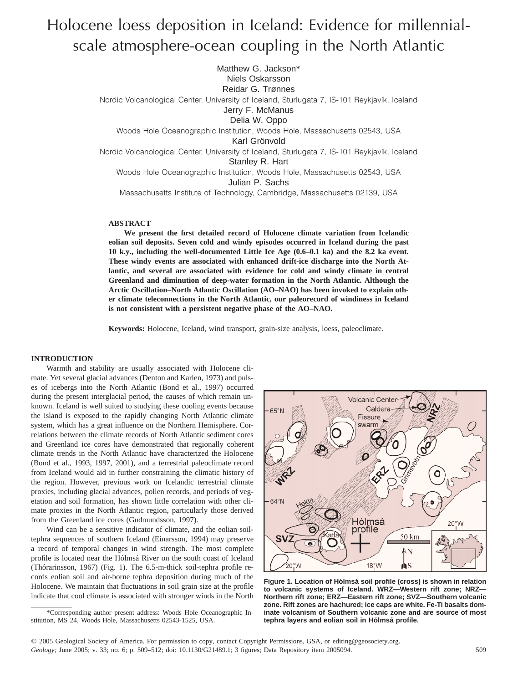# Holocene loess deposition in Iceland: Evidence for millennialscale atmosphere-ocean coupling in the North Atlantic

Matthew G. Jackson\* Niels Oskarsson Reidar G. Trønnes Nordic Volcanological Center, University of Iceland, Sturlugata 7, IS-101 Reykjavík, Iceland Jerry F. McManus Delia W. Oppo Woods Hole Oceanographic Institution, Woods Hole, Massachusetts 02543, USA Karl Grönvold Nordic Volcanological Center, University of Iceland, Sturlugata 7, IS-101 Reykjavík, Iceland Stanley R. Hart

Woods Hole Oceanographic Institution, Woods Hole, Massachusetts 02543, USA Julian P. Sachs

Massachusetts Institute of Technology, Cambridge, Massachusetts 02139, USA

### **ABSTRACT**

**We present the first detailed record of Holocene climate variation from Icelandic eolian soil deposits. Seven cold and windy episodes occurred in Iceland during the past 10 k.y., including the well-documented Little Ice Age (0.6–0.1 ka) and the 8.2 ka event. These windy events are associated with enhanced drift-ice discharge into the North Atlantic, and several are associated with evidence for cold and windy climate in central Greenland and diminution of deep-water formation in the North Atlantic. Although the Arctic Oscillation–North Atlantic Oscillation (AO–NAO) has been invoked to explain other climate teleconnections in the North Atlantic, our paleorecord of windiness in Iceland is not consistent with a persistent negative phase of the AO–NAO.**

**Keywords:** Holocene, Iceland, wind transport, grain-size analysis, loess, paleoclimate.

#### **INTRODUCTION**

Warmth and stability are usually associated with Holocene climate. Yet several glacial advances (Denton and Karlen, 1973) and pulses of icebergs into the North Atlantic (Bond et al., 1997) occurred during the present interglacial period, the causes of which remain unknown. Iceland is well suited to studying these cooling events because the island is exposed to the rapidly changing North Atlantic climate system, which has a great influence on the Northern Hemisphere. Correlations between the climate records of North Atlantic sediment cores and Greenland ice cores have demonstrated that regionally coherent climate trends in the North Atlantic have characterized the Holocene (Bond et al., 1993, 1997, 2001), and a terrestrial paleoclimate record from Iceland would aid in further constraining the climatic history of the region. However, previous work on Icelandic terrestrial climate proxies, including glacial advances, pollen records, and periods of vegetation and soil formation, has shown little correlation with other climate proxies in the North Atlantic region, particularly those derived from the Greenland ice cores (Gudmundsson, 1997).

Wind can be a sensitive indicator of climate, and the eolian soiltephra sequences of southern Iceland (Einarsson, 1994) may preserve a record of temporal changes in wind strength. The most complete profile is located near the Hólmsá River on the south coast of Iceland (Thórarinsson, 1967) (Fig. 1). The 6.5-m-thick soil-tephra profile records eolian soil and air-borne tephra deposition during much of the Holocene. We maintain that fluctuations in soil grain size at the profile indicate that cool climate is associated with stronger winds in the North

<sup>\*</sup>Corresponding author present address: Woods Hole Oceanographic Institution, MS 24, Woods Hole, Massachusetts 02543-1525, USA.



Figure 1. Location of Hólmsá soil profile (cross) is shown in relation **to volcanic systems of Iceland. WRZ—Western rift zone; NRZ— Northern rift zone; ERZ—Eastern rift zone; SVZ—Southern volcanic zone. Rift zones are hachured; ice caps are white. Fe-Ti basalts dominate volcanism of Southern volcanic zone and are source of most** tephra layers and eolian soil in Hólmsá profile.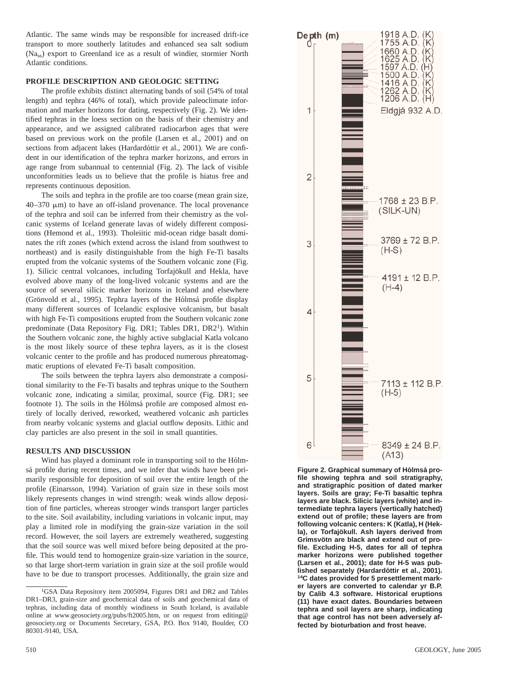Atlantic. The same winds may be responsible for increased drift-ice transport to more southerly latitudes and enhanced sea salt sodium (Nass) export to Greenland ice as a result of windier, stormier North Atlantic conditions.

## **PROFILE DESCRIPTION AND GEOLOGIC SETTING**

The profile exhibits distinct alternating bands of soil (54% of total length) and tephra (46% of total), which provide paleoclimate information and marker horizons for dating, respectively (Fig. 2). We identified tephras in the loess section on the basis of their chemistry and appearance, and we assigned calibrated radiocarbon ages that were based on previous work on the profile (Larsen et al., 2001) and on sections from adjacent lakes (Hardardóttir et al., 2001). We are confident in our identification of the tephra marker horizons, and errors in age range from subannual to centennial (Fig. 2). The lack of visible unconformities leads us to believe that the profile is hiatus free and represents continuous deposition.

The soils and tephra in the profile are too coarse (mean grain size,  $40-370 \mu m$ ) to have an off-island provenance. The local provenance of the tephra and soil can be inferred from their chemistry as the volcanic systems of Iceland generate lavas of widely different compositions (Hemond et al., 1993). Tholeiitic mid-ocean ridge basalt dominates the rift zones (which extend across the island from southwest to northeast) and is easily distinguishable from the high Fe-Ti basalts erupted from the volcanic systems of the Southern volcanic zone (Fig. 1). Silicic central volcanoes, including Torfajökull and Hekla, have evolved above many of the long-lived volcanic systems and are the source of several silicic marker horizons in Iceland and elsewhere (Grönvold et al., 1995). Tephra layers of the Hólmsá profile display many different sources of Icelandic explosive volcanism, but basalt with high Fe-Ti compositions erupted from the Southern volcanic zone predominate (Data Repository Fig. DR1; Tables DR1, DR2<sup>1</sup>). Within the Southern volcanic zone, the highly active subglacial Katla volcano is the most likely source of these tephra layers, as it is the closest volcanic center to the profile and has produced numerous phreatomagmatic eruptions of elevated Fe-Ti basalt composition.

The soils between the tephra layers also demonstrate a compositional similarity to the Fe-Ti basalts and tephras unique to the Southern volcanic zone, indicating a similar, proximal, source (Fig. DR1; see footnote 1). The soils in the Hólmsá profile are composed almost entirely of locally derived, reworked, weathered volcanic ash particles from nearby volcanic systems and glacial outflow deposits. Lithic and clay particles are also present in the soil in small quantities.

## **RESULTS AND DISCUSSION**

Wind has played a dominant role in transporting soil to the Hólmsá profile during recent times, and we infer that winds have been primarily responsible for deposition of soil over the entire length of the profile (Einarsson, 1994). Variation of grain size in these soils most likely represents changes in wind strength: weak winds allow deposition of fine particles, whereas stronger winds transport larger particles to the site. Soil availability, including variations in volcanic input, may play a limited role in modifying the grain-size variation in the soil record. However, the soil layers are extremely weathered, suggesting that the soil source was well mixed before being deposited at the profile. This would tend to homogenize grain-size variation in the source, so that large short-term variation in grain size at the soil profile would have to be due to transport processes. Additionally, the grain size and

<sup>&</sup>lt;sup>1</sup>GSA Data Repository item 2005094, Figures DR1 and DR2 and Tables DR1–DR3, grain-size and geochemical data of soils and geochemical data of tephras, including data of monthly windiness in South Iceland, is available online at www.geosociety.org/pubs/ft2005.htm, or on request from editing@ geosociety.org or Documents Secretary, GSA, P.O. Box 9140, Boulder, CO 80301-9140, USA.





Figure 2. Graphical summary of Hólmsá pro**file showing tephra and soil stratigraphy, and stratigraphic position of dated marker layers. Soils are gray; Fe-Ti basaltic tephra layers are black. Silicic layers (white) and intermediate tephra layers (vertically hatched) extend out of profile; these layers are from following volcanic centers: K (Katla), H (Hek**la), or Torfajökull. Ash layers derived from Grímsvötn are black and extend out of pro**file. Excluding H-5, dates for all of tephra marker horizons were published together (Larsen et al., 2001); date for H-5 was pub**lished separately (Hardardóttir et al., 2001). **14C dates provided for 5 presettlement marker layers are converted to calendar yr B.P. by Calib 4.3 software. Historical eruptions (11) have exact dates. Boundaries between tephra and soil layers are sharp, indicating that age control has not been adversely affected by bioturbation and frost heave.**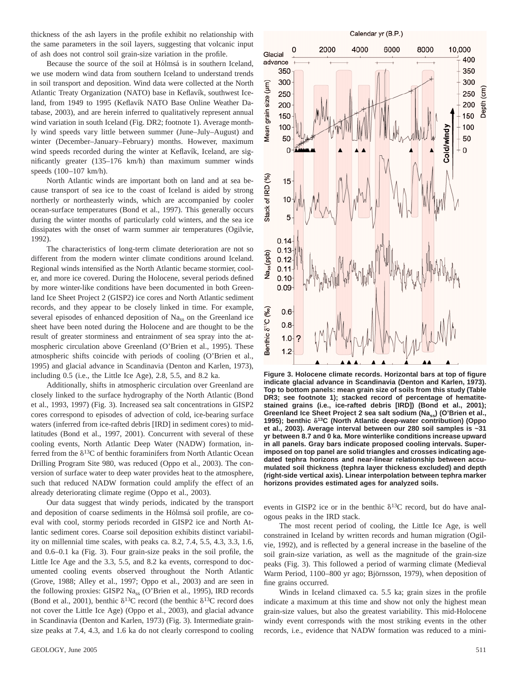thickness of the ash layers in the profile exhibit no relationship with the same parameters in the soil layers, suggesting that volcanic input of ash does not control soil grain-size variation in the profile.

Because the source of the soil at Hólmsá is in southern Iceland, we use modern wind data from southern Iceland to understand trends in soil transport and deposition. Wind data were collected at the North Atlantic Treaty Organization (NATO) base in Keflavík, southwest Iceland, from 1949 to 1995 (Keflavík NATO Base Online Weather Database, 2003), and are herein inferred to qualitatively represent annual wind variation in south Iceland (Fig. DR2; footnote 1). Average monthly wind speeds vary little between summer (June–July–August) and winter (December–January–February) months. However, maximum wind speeds recorded during the winter at Keflavík, Iceland, are significantly greater (135–176 km/h) than maximum summer winds speeds (100–107 km/h).

North Atlantic winds are important both on land and at sea because transport of sea ice to the coast of Iceland is aided by strong northerly or northeasterly winds, which are accompanied by cooler ocean-surface temperatures (Bond et al., 1997). This generally occurs during the winter months of particularly cold winters, and the sea ice dissipates with the onset of warm summer air temperatures (Ogilvie, 1992).

The characteristics of long-term climate deterioration are not so different from the modern winter climate conditions around Iceland. Regional winds intensified as the North Atlantic became stormier, cooler, and more ice covered. During the Holocene, several periods defined by more winter-like conditions have been documented in both Greenland Ice Sheet Project 2 (GISP2) ice cores and North Atlantic sediment records, and they appear to be closely linked in time. For example, several episodes of enhanced deposition of Na<sub>ss</sub> on the Greenland ice sheet have been noted during the Holocene and are thought to be the result of greater storminess and entrainment of sea spray into the atmospheric circulation above Greenland (O'Brien et al., 1995). These atmospheric shifts coincide with periods of cooling (O'Brien et al., 1995) and glacial advance in Scandinavia (Denton and Karlen, 1973), including 0.5 (i.e., the Little Ice Age), 2.8, 5.5, and 8.2 ka.

Additionally, shifts in atmospheric circulation over Greenland are closely linked to the surface hydrography of the North Atlantic (Bond et al., 1993, 1997) (Fig. 3). Increased sea salt concentrations in GISP2 cores correspond to episodes of advection of cold, ice-bearing surface waters (inferred from ice-rafted debris [IRD] in sediment cores) to midlatitudes (Bond et al., 1997, 2001). Concurrent with several of these cooling events, North Atlantic Deep Water (NADW) formation, inferred from the  $\delta^{13}$ C of benthic foraminifers from North Atlantic Ocean Drilling Program Site 980, was reduced (Oppo et al., 2003). The conversion of surface water to deep water provides heat to the atmosphere, such that reduced NADW formation could amplify the effect of an already deteriorating climate regime (Oppo et al., 2003).

Our data suggest that windy periods, indicated by the transport and deposition of coarse sediments in the Hólmsá soil profile, are coeval with cool, stormy periods recorded in GISP2 ice and North Atlantic sediment cores. Coarse soil deposition exhibits distinct variability on millennial time scales, with peaks ca. 8.2, 7.4, 5.5, 4.3, 3.3, 1.6, and 0.6–0.1 ka (Fig. 3). Four grain-size peaks in the soil profile, the Little Ice Age and the 3.3, 5.5, and 8.2 ka events, correspond to documented cooling events observed throughout the North Atlantic (Grove, 1988; Alley et al., 1997; Oppo et al., 2003) and are seen in the following proxies: GISP2 Na<sub>ss</sub> (O'Brien et al., 1995), IRD records (Bond et al., 2001), benthic  $\delta^{13}$ C record (the benthic  $\delta^{13}$ C record does not cover the Little Ice Age) (Oppo et al., 2003), and glacial advance in Scandinavia (Denton and Karlen, 1973) (Fig. 3). Intermediate grainsize peaks at 7.4, 4.3, and 1.6 ka do not clearly correspond to cooling



**Figure 3. Holocene climate records. Horizontal bars at top of figure indicate glacial advance in Scandinavia (Denton and Karlen, 1973). Top to bottom panels: mean grain size of soils from this study (Table DR3; see footnote 1); stacked record of percentage of hematitestained grains (i.e., ice-rafted debris [IRD]) (Bond et al., 2001);** Greenland Ice Sheet Project 2 sea salt sodium (Na<sub>ss</sub>) (O'Brien et al., **1995); benthic δ<sup>13</sup>C (North Atlantic deep-water contribution) (Oppo et al., 2003). Average interval between our 280 soil samples is ~31 yr between 8.7 and 0 ka. More winterlike conditions increase upward in all panels. Gray bars indicate proposed cooling intervals. Superimposed on top panel are solid triangles and crosses indicating agedated tephra horizons and near-linear relationship between accumulated soil thickness (tephra layer thickness excluded) and depth (right-side vertical axis). Linear interpolation between tephra marker horizons provides estimated ages for analyzed soils.**

events in GISP2 ice or in the benthic  $\delta^{13}$ C record, but do have analogous peaks in the IRD stack.

The most recent period of cooling, the Little Ice Age, is well constrained in Iceland by written records and human migration (Ogilvie, 1992), and is reflected by a general increase in the baseline of the soil grain-size variation, as well as the magnitude of the grain-size peaks (Fig. 3). This followed a period of warming climate (Medieval Warm Period, 1100–800 yr ago; Björnsson, 1979), when deposition of fine grains occurred.

Winds in Iceland climaxed ca. 5.5 ka; grain sizes in the profile indicate a maximum at this time and show not only the highest mean grain-size values, but also the greatest variability. This mid-Holocene windy event corresponds with the most striking events in the other records, i.e., evidence that NADW formation was reduced to a mini-